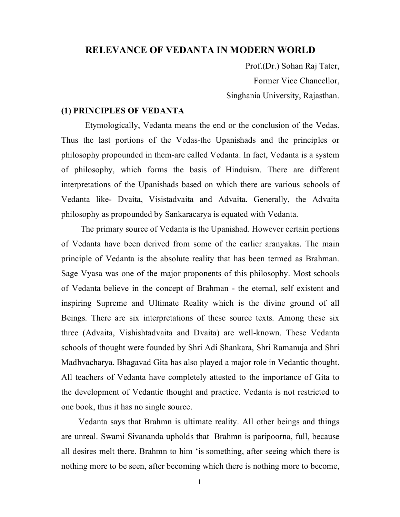# **RELEVANCE OF VEDANTA IN MODERN WORLD**

 Prof.(Dr.) Sohan Raj Tater, Former Vice Chancellor, Singhania University, Rajasthan.

### **(1) PRINCIPLES OF VEDANTA**

 Etymologically, Vedanta means the end or the conclusion of the Vedas. Thus the last portions of the Vedas-the Upanishads and the principles or philosophy propounded in them-are called Vedanta. In fact, Vedanta is a system of philosophy, which forms the basis of Hinduism. There are different interpretations of the Upanishads based on which there are various schools of Vedanta like- Dvaita, Visistadvaita and Advaita. Generally, the Advaita philosophy as propounded by Sankaracarya is equated with Vedanta.

 The primary source of Vedanta is the Upanishad. However certain portions of Vedanta have been derived from some of the earlier aranyakas. The main principle of Vedanta is the absolute reality that has been termed as Brahman. Sage Vyasa was one of the major proponents of this philosophy. Most schools of Vedanta believe in the concept of Brahman - the eternal, self existent and inspiring Supreme and Ultimate Reality which is the divine ground of all Beings. There are six interpretations of these source texts. Among these six three (Advaita, Vishishtadvaita and Dvaita) are well-known. These Vedanta schools of thought were founded by Shri Adi Shankara, Shri Ramanuja and Shri Madhvacharya. Bhagavad Gita has also played a major role in Vedantic thought. All teachers of Vedanta have completely attested to the importance of Gita to the development of Vedantic thought and practice. Vedanta is not restricted to one book, thus it has no single source.

 Vedanta says that Brahmn is ultimate reality. All other beings and things are unreal. Swami Sivananda upholds that Brahmn is paripoorna, full, because all desires melt there. Brahmn to him 'is something, after seeing which there is nothing more to be seen, after becoming which there is nothing more to become,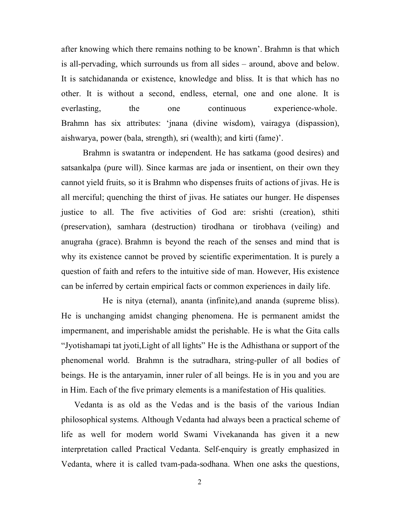after knowing which there remains nothing to be known'. Brahmn is that which is all-pervading, which surrounds us from all sides – around, above and below. It is satchidananda or existence, knowledge and bliss. It is that which has no other. It is without a second, endless, eternal, one and one alone. It is everlasting, the one continuous experience-whole. Brahmn has six attributes: 'jnana (divine wisdom), vairagya (dispassion), aishwarya, power (bala, strength), sri (wealth); and kirti (fame)'.

 Brahmn is swatantra or independent. He has satkama (good desires) and satsankalpa (pure will). Since karmas are jada or insentient, on their own they cannot yield fruits, so it is Brahmn who dispenses fruits of actions of jivas. He is all merciful; quenching the thirst of jivas. He satiates our hunger. He dispenses justice to all. The five activities of God are: srishti (creation), sthiti (preservation), samhara (destruction) tirodhana or tirobhava (veiling) and anugraha (grace). Brahmn is beyond the reach of the senses and mind that is why its existence cannot be proved by scientific experimentation. It is purely a question of faith and refers to the intuitive side of man. However, His existence can be inferred by certain empirical facts or common experiences in daily life.

 He is nitya (eternal), ananta (infinite),and ananda (supreme bliss). He is unchanging amidst changing phenomena. He is permanent amidst the impermanent, and imperishable amidst the perishable. He is what the Gita calls "Jyotishamapi tat jyoti,Light of all lights" He is the Adhisthana or support of the phenomenal world. Brahmn is the sutradhara, string-puller of all bodies of beings. He is the antaryamin, inner ruler of all beings. He is in you and you are in Him. Each of the five primary elements is a manifestation of His qualities.

 Vedanta is as old as the Vedas and is the basis of the various Indian philosophical systems. Although Vedanta had always been a practical scheme of life as well for modern world Swami Vivekananda has given it a new interpretation called Practical Vedanta. Self-enquiry is greatly emphasized in Vedanta, where it is called tvam-pada-sodhana. When one asks the questions,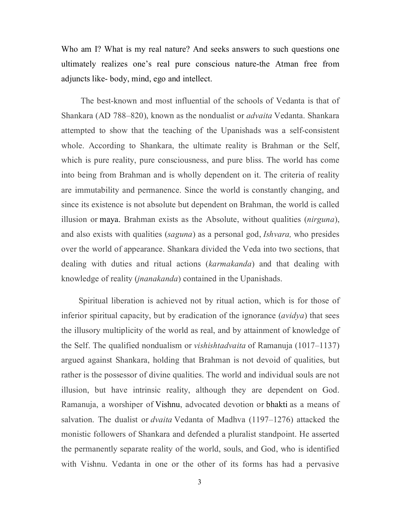Who am I? What is my real nature? And seeks answers to such questions one ultimately realizes one's real pure conscious nature-the Atman free from adjuncts like- body, mind, ego and intellect.

 The best-known and most influential of the schools of Vedanta is that of Shankara (AD 788–820), known as the nondualist or *advaita* Vedanta. Shankara attempted to show that the teaching of the Upanishads was a self-consistent whole. According to Shankara, the ultimate reality is Brahman or the Self, which is pure reality, pure consciousness, and pure bliss. The world has come into being from Brahman and is wholly dependent on it. The criteria of reality are immutability and permanence. Since the world is constantly changing, and since its existence is not absolute but dependent on Brahman, the world is called illusion or maya. Brahman exists as the Absolute, without qualities (*nirguna*), and also exists with qualities (*saguna*) as a personal god, *Ishvara,* who presides over the world of appearance. Shankara divided the Veda into two sections, that dealing with duties and ritual actions (*karmakanda*) and that dealing with knowledge of reality (*jnanakanda*) contained in the Upanishads.

 Spiritual liberation is achieved not by ritual action, which is for those of inferior spiritual capacity, but by eradication of the ignorance (*avidya*) that sees the illusory multiplicity of the world as real, and by attainment of knowledge of the Self. The qualified nondualism or *vishishtadvaita* of Ramanuja (1017–1137) argued against Shankara, holding that Brahman is not devoid of qualities, but rather is the possessor of divine qualities. The world and individual souls are not illusion, but have intrinsic reality, although they are dependent on God. Ramanuja, a worshiper of Vishnu, advocated devotion or bhakti as a means of salvation. The dualist or *dvaita* Vedanta of Madhva (1197–1276) attacked the monistic followers of Shankara and defended a pluralist standpoint. He asserted the permanently separate reality of the world, souls, and God, who is identified with Vishnu. Vedanta in one or the other of its forms has had a pervasive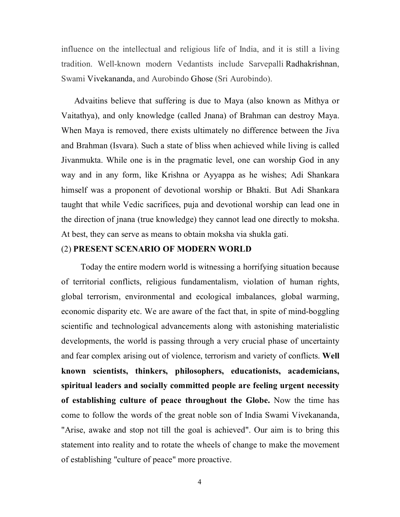influence on the intellectual and religious life of India, and it is still a living tradition. Well-known modern Vedantists include Sarvepalli Radhakrishnan, Swami Vivekananda, and Aurobindo Ghose (Sri Aurobindo).

 Advaitins believe that suffering is due to Maya (also known as Mithya or Vaitathya), and only knowledge (called Jnana) of Brahman can destroy Maya. When Maya is removed, there exists ultimately no difference between the Jiva and Brahman (Isvara). Such a state of bliss when achieved while living is called Jivanmukta. While one is in the pragmatic level, one can worship God in any way and in any form, like Krishna or Ayyappa as he wishes; Adi Shankara himself was a proponent of devotional worship or Bhakti. But Adi Shankara taught that while Vedic sacrifices, puja and devotional worship can lead one in the direction of jnana (true knowledge) they cannot lead one directly to moksha. At best, they can serve as means to obtain moksha via shukla gati.

# (2) **PRESENT SCENARIO OF MODERN WORLD**

 Today the entire modern world is witnessing a horrifying situation because of territorial conflicts, religious fundamentalism, violation of human rights, global terrorism, environmental and ecological imbalances, global warming, economic disparity etc. We are aware of the fact that, in spite of mind-boggling scientific and technological advancements along with astonishing materialistic developments, the world is passing through a very crucial phase of uncertainty and fear complex arising out of violence, terrorism and variety of conflicts. **Well known scientists, thinkers, philosophers, educationists, academicians, spiritual leaders and socially committed people are feeling urgent necessity of establishing culture of peace throughout the Globe.** Now the time has come to follow the words of the great noble son of India Swami Vivekananda, "Arise, awake and stop not till the goal is achieved". Our aim is to bring this statement into reality and to rotate the wheels of change to make the movement of establishing "culture of peace" more proactive.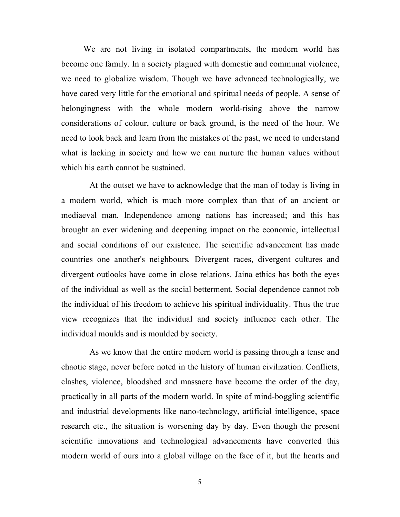We are not living in isolated compartments, the modern world has become one family. In a society plagued with domestic and communal violence, we need to globalize wisdom. Though we have advanced technologically, we have cared very little for the emotional and spiritual needs of people. A sense of belongingness with the whole modern world-rising above the narrow considerations of colour, culture or back ground, is the need of the hour. We need to look back and learn from the mistakes of the past, we need to understand what is lacking in society and how we can nurture the human values without which his earth cannot be sustained.

 At the outset we have to acknowledge that the man of today is living in a modern world, which is much more complex than that of an ancient or mediaeval man. Independence among nations has increased; and this has brought an ever widening and deepening impact on the economic, intellectual and social conditions of our existence. The scientific advancement has made countries one another's neighbours. Divergent races, divergent cultures and divergent outlooks have come in close relations. Jaina ethics has both the eyes of the individual as well as the social betterment. Social dependence cannot rob the individual of his freedom to achieve his spiritual individuality. Thus the true view recognizes that the individual and society influence each other. The individual moulds and is moulded by society.

 As we know that the entire modern world is passing through a tense and chaotic stage, never before noted in the history of human civilization. Conflicts, clashes, violence, bloodshed and massacre have become the order of the day, practically in all parts of the modern world. In spite of mind-boggling scientific and industrial developments like nano-technology, artificial intelligence, space research etc., the situation is worsening day by day. Even though the present scientific innovations and technological advancements have converted this modern world of ours into a global village on the face of it, but the hearts and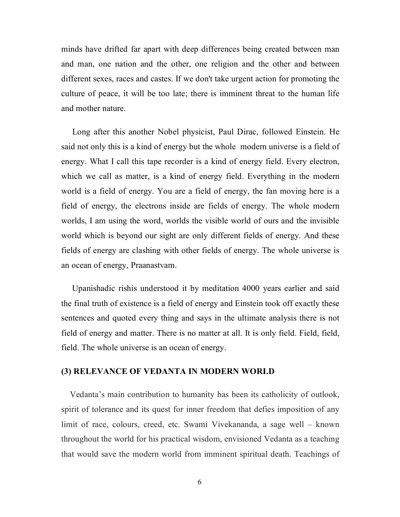minds have drifted far apart with deep differences being created between man and man, one nation and the other, one religion and the other and between different sexes, races and castes. If we don't take urgent action for promoting the culture of peace, it will be too late; there is imminent threat to the human life and mother nature.

 Long after this another Nobel physicist, Paul Dirac, followed Einstein. He said not only this is a kind of energy but the whole modern universe is a field of energy. What I call this tape recorder is a kind of energy field. Every electron, which we call as matter, is a kind of energy field. Everything in the modern world is a field of energy. You are a field of energy, the fan moving here is a field of energy, the electrons inside are fields of energy. The whole modern worlds, I am using the word, worlds the visible world of ours and the invisible world which is beyond our sight are only different fields of energy. And these fields of energy are clashing with other fields of energy. The whole universe is an ocean of energy, Praanastvam.

 Upanishadic rishis understood it by meditation 4000 years earlier and said the final truth of existence is a field of energy and Einstein took off exactly these sentences and quoted every thing and says in the ultimate analysis there is not field of energy and matter. There is no matter at all. It is only field. Field, field, field. The whole universe is an ocean of energy.

## **(3) RELEVANCE OF VEDANTA IN MODERN WORLD**

 Vedanta's main contribution to humanity has been its catholicity of outlook, spirit of tolerance and its quest for inner freedom that defies imposition of any limit of race, colours, creed, etc. Swami Vivekananda, a sage well – known throughout the world for his practical wisdom, envisioned Vedanta as a teaching that would save the modern world from imminent spiritual death. Teachings of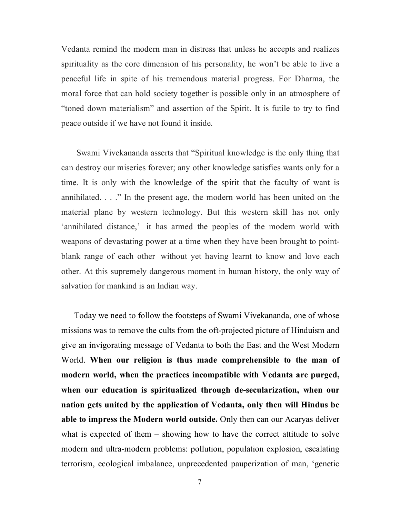Vedanta remind the modern man in distress that unless he accepts and realizes spirituality as the core dimension of his personality, he won't be able to live a peaceful life in spite of his tremendous material progress. For Dharma, the moral force that can hold society together is possible only in an atmosphere of "toned down materialism" and assertion of the Spirit. It is futile to try to find peace outside if we have not found it inside.

 Swami Vivekananda asserts that "Spiritual knowledge is the only thing that can destroy our miseries forever; any other knowledge satisfies wants only for a time. It is only with the knowledge of the spirit that the faculty of want is annihilated. . . ." In the present age, the modern world has been united on the material plane by western technology. But this western skill has not only 'annihilated distance,' it has armed the peoples of the modern world with weapons of devastating power at a time when they have been brought to pointblank range of each other without yet having learnt to know and love each other. At this supremely dangerous moment in human history, the only way of salvation for mankind is an Indian way.

 Today we need to follow the footsteps of Swami Vivekananda, one of whose missions was to remove the cults from the oft-projected picture of Hinduism and give an invigorating message of Vedanta to both the East and the West Modern World. **When our religion is thus made comprehensible to the man of modern world, when the practices incompatible with Vedanta are purged, when our education is spiritualized through de-secularization, when our nation gets united by the application of Vedanta, only then will Hindus be able to impress the Modern world outside.** Only then can our Acaryas deliver what is expected of them – showing how to have the correct attitude to solve modern and ultra-modern problems: pollution, population explosion, escalating terrorism, ecological imbalance, unprecedented pauperization of man, 'genetic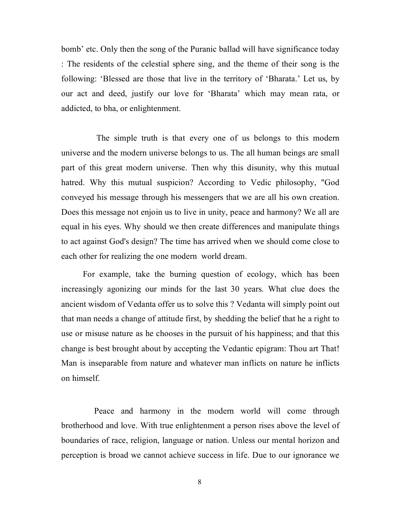bomb' etc. Only then the song of the Puranic ballad will have significance today : The residents of the celestial sphere sing, and the theme of their song is the following: 'Blessed are those that live in the territory of 'Bharata.' Let us, by our act and deed, justify our love for 'Bharata' which may mean rata, or addicted, to bha, or enlightenment.

 The simple truth is that every one of us belongs to this modern universe and the modern universe belongs to us. The all human beings are small part of this great modern universe. Then why this disunity, why this mutual hatred. Why this mutual suspicion? According to Vedic philosophy, "God conveyed his message through his messengers that we are all his own creation. Does this message not enjoin us to live in unity, peace and harmony? We all are equal in his eyes. Why should we then create differences and manipulate things to act against God's design? The time has arrived when we should come close to each other for realizing the one modern world dream.

 For example, take the burning question of ecology, which has been increasingly agonizing our minds for the last 30 years. What clue does the ancient wisdom of Vedanta offer us to solve this ? Vedanta will simply point out that man needs a change of attitude first, by shedding the belief that he a right to use or misuse nature as he chooses in the pursuit of his happiness; and that this change is best brought about by accepting the Vedantic epigram: Thou art That! Man is inseparable from nature and whatever man inflicts on nature he inflicts on himself.

 Peace and harmony in the modern world will come through brotherhood and love. With true enlightenment a person rises above the level of boundaries of race, religion, language or nation. Unless our mental horizon and perception is broad we cannot achieve success in life. Due to our ignorance we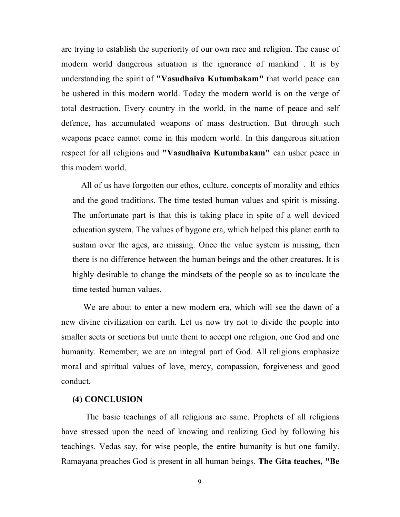are trying to establish the superiority of our own race and religion. The cause of modern world dangerous situation is the ignorance of mankind . It is by understanding the spirit of **"Vasudhaiva Kutumbakam"** that world peace can be ushered in this modern world. Today the modern world is on the verge of total destruction. Every country in the world, in the name of peace and self defence, has accumulated weapons of mass destruction. But through such weapons peace cannot come in this modern world. In this dangerous situation respect for all religions and **"Vasudhaiva Kutumbakam"** can usher peace in this modern world.

 All of us have forgotten our ethos, culture, concepts of morality and ethics and the good traditions. The time tested human values and spirit is missing. The unfortunate part is that this is taking place in spite of a well deviced education system. The values of bygone era, which helped this planet earth to sustain over the ages, are missing. Once the value system is missing, then there is no difference between the human beings and the other creatures. It is highly desirable to change the mindsets of the people so as to inculcate the time tested human values.

We are about to enter a new modern era, which will see the dawn of a new divine civilization on earth. Let us now try not to divide the people into smaller sects or sections but unite them to accept one religion, one God and one humanity. Remember, we are an integral part of God. All religions emphasize moral and spiritual values of love, mercy, compassion, forgiveness and good conduct.

### **(4) CONCLUSION**

The basic teachings of all religions are same. Prophets of all religions have stressed upon the need of knowing and realizing God by following his teachings. Vedas say, for wise people, the entire humanity is but one family. Ramayana preaches God is present in all human beings. **The Gita teaches, "Be**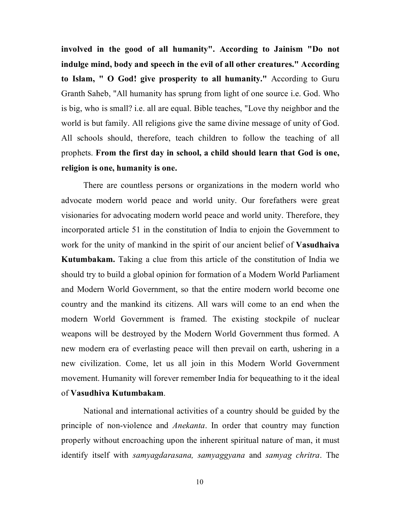**involved in the good of all humanity". According to Jainism "Do not indulge mind, body and speech in the evil of all other creatures." According to Islam, " O God! give prosperity to all humanity."** According to Guru Granth Saheb, "All humanity has sprung from light of one source i.e. God. Who is big, who is small? i.e. all are equal. Bible teaches, "Love thy neighbor and the world is but family. All religions give the same divine message of unity of God. All schools should, therefore, teach children to follow the teaching of all prophets. **From the first day in school, a child should learn that God is one, religion is one, humanity is one.**

There are countless persons or organizations in the modern world who advocate modern world peace and world unity. Our forefathers were great visionaries for advocating modern world peace and world unity. Therefore, they incorporated article 51 in the constitution of India to enjoin the Government to work for the unity of mankind in the spirit of our ancient belief of **Vasudhaiva Kutumbakam.** Taking a clue from this article of the constitution of India we should try to build a global opinion for formation of a Modern World Parliament and Modern World Government, so that the entire modern world become one country and the mankind its citizens. All wars will come to an end when the modern World Government is framed. The existing stockpile of nuclear weapons will be destroyed by the Modern World Government thus formed. A new modern era of everlasting peace will then prevail on earth, ushering in a new civilization. Come, let us all join in this Modern World Government movement. Humanity will forever remember India for bequeathing to it the ideal of **Vasudhiva Kutumbakam**.

National and international activities of a country should be guided by the principle of non-violence and *Anekanta*. In order that country may function properly without encroaching upon the inherent spiritual nature of man, it must identify itself with *samyagdarasana, samyaggyana* and *samyag chritra*. The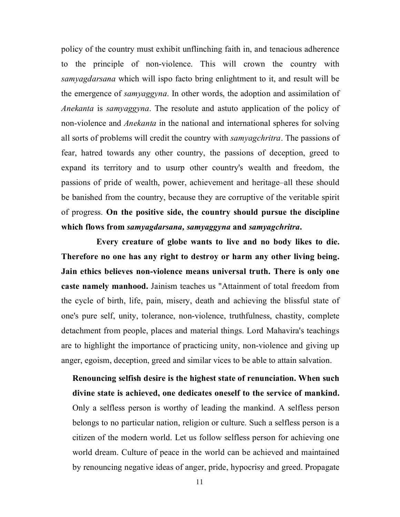policy of the country must exhibit unflinching faith in, and tenacious adherence to the principle of non-violence. This will crown the country with *samyagdarsana* which will ispo facto bring enlightment to it, and result will be the emergence of *samyaggyna*. In other words, the adoption and assimilation of *Anekanta* is *samyaggyna*. The resolute and astuto application of the policy of non-violence and *Anekanta* in the national and international spheres for solving all sorts of problems will credit the country with *samyagchritra*. The passions of fear, hatred towards any other country, the passions of deception, greed to expand its territory and to usurp other country's wealth and freedom, the passions of pride of wealth, power, achievement and heritage–all these should be banished from the country, because they are corruptive of the veritable spirit of progress. **On the positive side, the country should pursue the discipline which flows from** *samyagdarsana, samyaggyna* **and** *samyagchritra***.**

 **Every creature of globe wants to live and no body likes to die. Therefore no one has any right to destroy or harm any other living being. Jain ethics believes non-violence means universal truth. There is only one caste namely manhood.** Jainism teaches us "Attainment of total freedom from the cycle of birth, life, pain, misery, death and achieving the blissful state of one's pure self, unity, tolerance, non-violence, truthfulness, chastity, complete detachment from people, places and material things. Lord Mahavira's teachings are to highlight the importance of practicing unity, non-violence and giving up anger, egoism, deception, greed and similar vices to be able to attain salvation.

**Renouncing selfish desire is the highest state of renunciation. When such divine state is achieved, one dedicates oneself to the service of mankind.** Only a selfless person is worthy of leading the mankind. A selfless person belongs to no particular nation, religion or culture. Such a selfless person is a citizen of the modern world. Let us follow selfless person for achieving one world dream. Culture of peace in the world can be achieved and maintained by renouncing negative ideas of anger, pride, hypocrisy and greed. Propagate